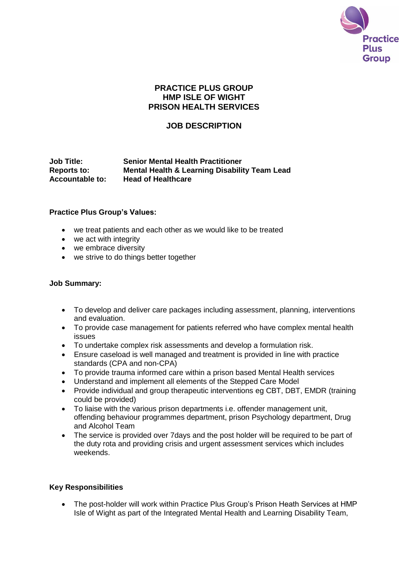

## **PRACTICE PLUS GROUP HMP ISLE OF WIGHT PRISON HEALTH SERVICES**

## **JOB DESCRIPTION**

#### **Job Title: Senior Mental Health Practitioner Reports to: Mental Health & Learning Disability Team Lead Accountable to: Head of Healthcare**

### **Practice Plus Group's Values:**

- we treat patients and each other as we would like to be treated
- we act with integrity
- we embrace diversity
- we strive to do things better together

#### **Job Summary:**

- To develop and deliver care packages including assessment, planning, interventions and evaluation.
- To provide case management for patients referred who have complex mental health issues
- To undertake complex risk assessments and develop a formulation risk.
- Ensure caseload is well managed and treatment is provided in line with practice standards (CPA and non-CPA)
- To provide trauma informed care within a prison based Mental Health services
- Understand and implement all elements of the Stepped Care Model
- Provide individual and group therapeutic interventions eg CBT, DBT, EMDR (training could be provided)
- To liaise with the various prison departments i.e. offender management unit, offending behaviour programmes department, prison Psychology department, Drug and Alcohol Team
- The service is provided over 7 days and the post holder will be required to be part of the duty rota and providing crisis and urgent assessment services which includes weekends.

### **Key Responsibilities**

 The post-holder will work within Practice Plus Group's Prison Heath Services at HMP Isle of Wight as part of the Integrated Mental Health and Learning Disability Team,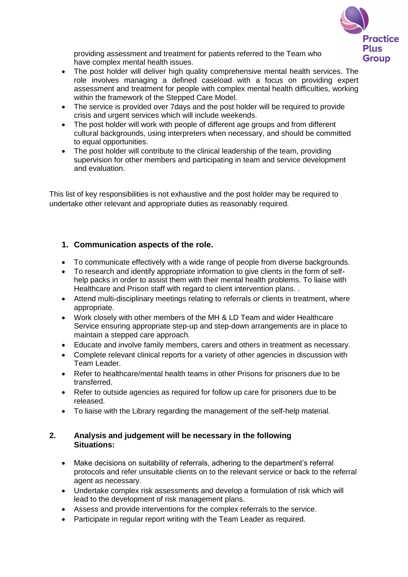

providing assessment and treatment for patients referred to the Team who have complex mental health issues.

- The post holder will deliver high quality comprehensive mental health services. The role involves managing a defined caseload with a focus on providing expert assessment and treatment for people with complex mental health difficulties, working within the framework of the Stepped Care Model.
- The service is provided over 7days and the post holder will be required to provide crisis and urgent services which will include weekends.
- The post holder will work with people of different age groups and from different cultural backgrounds, using interpreters when necessary, and should be committed to equal opportunities.
- The post holder will contribute to the clinical leadership of the team, providing supervision for other members and participating in team and service development and evaluation.

This list of key responsibilities is not exhaustive and the post holder may be required to undertake other relevant and appropriate duties as reasonably required.

## **1. Communication aspects of the role.**

- To communicate effectively with a wide range of people from diverse backgrounds.
- To research and identify appropriate information to give clients in the form of selfhelp packs in order to assist them with their mental health problems. To liaise with Healthcare and Prison staff with regard to client intervention plans. .
- Attend multi-disciplinary meetings relating to referrals or clients in treatment, where appropriate.
- Work closely with other members of the MH & LD Team and wider Healthcare Service ensuring appropriate step-up and step-down arrangements are in place to maintain a stepped care approach.
- Educate and involve family members, carers and others in treatment as necessary.
- Complete relevant clinical reports for a variety of other agencies in discussion with Team Leader.
- Refer to healthcare/mental health teams in other Prisons for prisoners due to be transferred.
- Refer to outside agencies as required for follow up care for prisoners due to be released.
- To liaise with the Library regarding the management of the self-help material.

### **2. Analysis and judgement will be necessary in the following Situations:**

- Make decisions on suitability of referrals, adhering to the department's referral protocols and refer unsuitable clients on to the relevant service or back to the referral agent as necessary.
- Undertake complex risk assessments and develop a formulation of risk which will lead to the development of risk management plans.
- Assess and provide interventions for the complex referrals to the service.
- Participate in regular report writing with the Team Leader as required.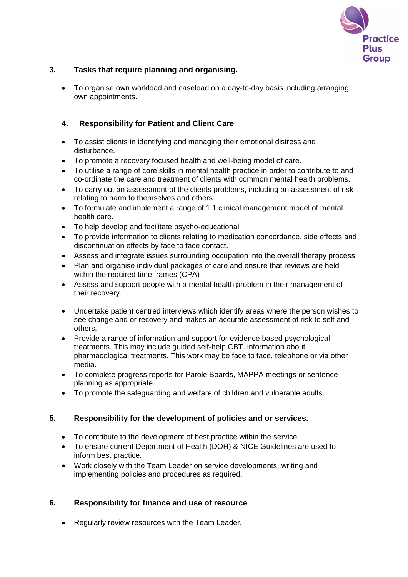

## **3. Tasks that require planning and organising.**

 To organise own workload and caseload on a day-to-day basis including arranging own appointments.

## **4. Responsibility for Patient and Client Care**

- To assist clients in identifying and managing their emotional distress and disturbance.
- To promote a recovery focused health and well-being model of care.
- To utilise a range of core skills in mental health practice in order to contribute to and co-ordinate the care and treatment of clients with common mental health problems.
- To carry out an assessment of the clients problems, including an assessment of risk relating to harm to themselves and others.
- To formulate and implement a range of 1:1 clinical management model of mental health care.
- To help develop and facilitate psycho-educational
- To provide information to clients relating to medication concordance, side effects and discontinuation effects by face to face contact.
- Assess and integrate issues surrounding occupation into the overall therapy process.
- Plan and organise individual packages of care and ensure that reviews are held within the required time frames (CPA)
- Assess and support people with a mental health problem in their management of their recovery.
- Undertake patient centred interviews which identify areas where the person wishes to see change and or recovery and makes an accurate assessment of risk to self and others.
- Provide a range of information and support for evidence based psychological treatments. This may include guided self-help CBT, information about pharmacological treatments. This work may be face to face, telephone or via other media.
- To complete progress reports for Parole Boards, MAPPA meetings or sentence planning as appropriate.
- To promote the safeguarding and welfare of children and vulnerable adults.

### **5. Responsibility for the development of policies and or services.**

- To contribute to the development of best practice within the service.
- To ensure current Department of Health (DOH) & NICE Guidelines are used to inform best practice.
- Work closely with the Team Leader on service developments, writing and implementing policies and procedures as required.

### **6. Responsibility for finance and use of resource**

• Regularly review resources with the Team Leader.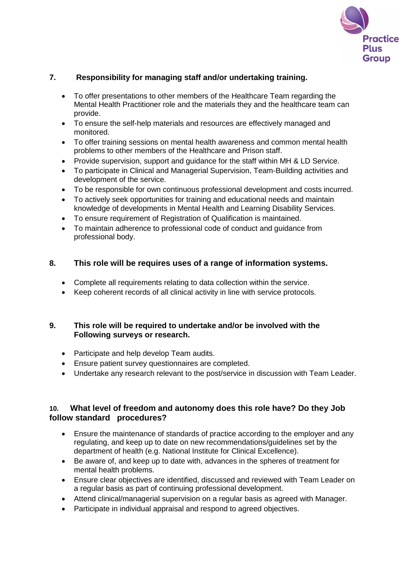

## **7. Responsibility for managing staff and/or undertaking training.**

- To offer presentations to other members of the Healthcare Team regarding the Mental Health Practitioner role and the materials they and the healthcare team can provide.
- To ensure the self-help materials and resources are effectively managed and monitored.
- To offer training sessions on mental health awareness and common mental health problems to other members of the Healthcare and Prison staff.
- Provide supervision, support and guidance for the staff within MH & LD Service.
- To participate in Clinical and Managerial Supervision, Team-Building activities and development of the service.
- To be responsible for own continuous professional development and costs incurred.
- To actively seek opportunities for training and educational needs and maintain knowledge of developments in Mental Health and Learning Disability Services.
- To ensure requirement of Registration of Qualification is maintained.
- To maintain adherence to professional code of conduct and guidance from professional body.

### **8. This role will be requires uses of a range of information systems.**

- Complete all requirements relating to data collection within the service.
- Keep coherent records of all clinical activity in line with service protocols.

### **9. This role will be required to undertake and/or be involved with the Following surveys or research.**

- Participate and help develop Team audits.
- Ensure patient survey questionnaires are completed.
- Undertake any research relevant to the post/service in discussion with Team Leader.

### **10. What level of freedom and autonomy does this role have? Do they Job follow standard procedures?**

- Ensure the maintenance of standards of practice according to the employer and any regulating, and keep up to date on new recommendations/guidelines set by the department of health (e.g. National Institute for Clinical Excellence).
- Be aware of, and keep up to date with, advances in the spheres of treatment for mental health problems.
- Ensure clear objectives are identified, discussed and reviewed with Team Leader on a regular basis as part of continuing professional development.
- Attend clinical/managerial supervision on a regular basis as agreed with Manager.
- Participate in individual appraisal and respond to agreed objectives.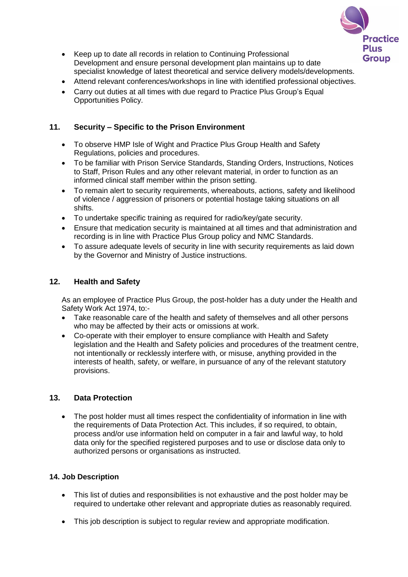

- Keep up to date all records in relation to Continuing Professional Development and ensure personal development plan maintains up to date specialist knowledge of latest theoretical and service delivery models/developments.
- Attend relevant conferences/workshops in line with identified professional objectives.
- Carry out duties at all times with due regard to Practice Plus Group's Equal Opportunities Policy.

### **11. Security – Specific to the Prison Environment**

- To observe HMP Isle of Wight and Practice Plus Group Health and Safety Regulations, policies and procedures.
- To be familiar with Prison Service Standards, Standing Orders, Instructions, Notices to Staff, Prison Rules and any other relevant material, in order to function as an informed clinical staff member within the prison setting.
- To remain alert to security requirements, whereabouts, actions, safety and likelihood of violence / aggression of prisoners or potential hostage taking situations on all shifts.
- To undertake specific training as required for radio/key/gate security.
- Ensure that medication security is maintained at all times and that administration and recording is in line with Practice Plus Group policy and NMC Standards.
- To assure adequate levels of security in line with security requirements as laid down by the Governor and Ministry of Justice instructions.

### **12. Health and Safety**

As an employee of Practice Plus Group, the post-holder has a duty under the Health and Safety Work Act 1974, to:-

- Take reasonable care of the health and safety of themselves and all other persons who may be affected by their acts or omissions at work.
- Co-operate with their employer to ensure compliance with Health and Safety legislation and the Health and Safety policies and procedures of the treatment centre, not intentionally or recklessly interfere with, or misuse, anything provided in the interests of health, safety, or welfare, in pursuance of any of the relevant statutory provisions.

### **13. Data Protection**

• The post holder must all times respect the confidentiality of information in line with the requirements of Data Protection Act. This includes, if so required, to obtain, process and/or use information held on computer in a fair and lawful way, to hold data only for the specified registered purposes and to use or disclose data only to authorized persons or organisations as instructed.

#### **14. Job Description**

- This list of duties and responsibilities is not exhaustive and the post holder may be required to undertake other relevant and appropriate duties as reasonably required.
- This job description is subject to regular review and appropriate modification.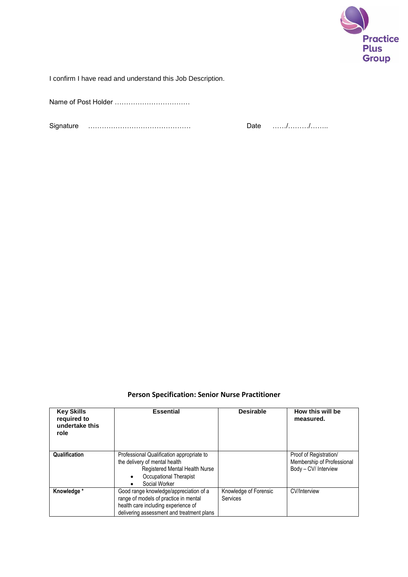

I confirm I have read and understand this Job Description.

Name of Post Holder ……………………………

Signature ……………………………………… Date ……/………/……..

# **Person Specification: Senior Nurse Practitioner**

| <b>Key Skills</b><br>required to<br>undertake this<br>role | <b>Essential</b>                                                                                                                                                    | <b>Desirable</b>                  | How this will be<br>measured.                                                |
|------------------------------------------------------------|---------------------------------------------------------------------------------------------------------------------------------------------------------------------|-----------------------------------|------------------------------------------------------------------------------|
| Qualification                                              | Professional Qualification appropriate to<br>the delivery of mental health<br>Registered Mental Health Nurse<br>Occupational Therapist<br>Social Worker             |                                   | Proof of Registration/<br>Membership of Professional<br>Body - CV/ Interview |
| Knowledge *                                                | Good range knowledge/appreciation of a<br>range of models of practice in mental<br>health care including experience of<br>delivering assessment and treatment plans | Knowledge of Forensic<br>Services | <b>CV/Interview</b>                                                          |